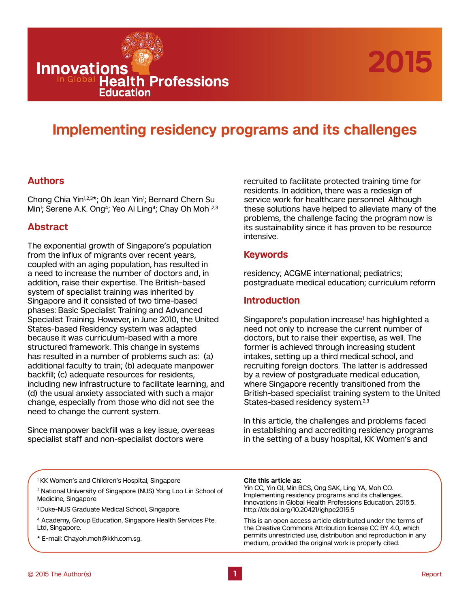

# **Implementing residency programs and its challenges**

## **Authors**

**Innovations** 

Chong Chia Yin<sup>1,2,3\*</sup>; Oh Jean Yin<sup>1</sup>; Bernard Chern Su Min<sup>1</sup>; Serene A.K. Ong<sup>4</sup>; Yeo Ai Ling<sup>4</sup>; Chay Oh Moh<sup>1,2,3</sup>

Education

**IODAL Health Professions** 

## **Abstract**

The exponential growth of Singapore's population from the influx of migrants over recent years, coupled with an aging population, has resulted in a need to increase the number of doctors and, in addition, raise their expertise. The British-based system of specialist training was inherited by Singapore and it consisted of two time-based phases: Basic Specialist Training and Advanced Specialist Training. However, in June 2010, the United States-based Residency system was adapted because it was curriculum-based with a more structured framework. This change in systems has resulted in a number of problems such as: (a) additional faculty to train; (b) adequate manpower backfill; (c) adequate resources for residents, including new infrastructure to facilitate learning, and (d) the usual anxiety associated with such a major change, especially from those who did not see the need to change the current system.

Since manpower backfill was a key issue, overseas specialist staff and non-specialist doctors were

recruited to facilitate protected training time for residents. In addition, there was a redesign of service work for healthcare personnel. Although these solutions have helped to alleviate many of the problems, the challenge facing the program now is its sustainability since it has proven to be resource intensive.

### **Keywords**

residency; ACGME international; pediatrics; postgraduate medical education; curriculum reform

# **Introduction**

Singapore's population increase<sup>1</sup> has highlighted a need not only to increase the current number of doctors, but to raise their expertise, as well. The former is achieved through increasing student intakes, setting up a third medical school, and recruiting foreign doctors. The latter is addressed by a review of postgraduate medical education, where Singapore recently transitioned from the British-based specialist training system to the United States-based residency system.<sup>2,3</sup>

In this article, the challenges and problems faced in establishing and accrediting residency programs in the setting of a busy hospital, KK Women's and

1 KK Women's and Children's Hospital, Singapore

2 National University of Singapore (NUS) Yong Loo Lin School of Medicine, Singapore

- 3 Duke-NUS Graduate Medical School, Singapore.
- 4 Academy, Group Education, Singapore Health Services Pte. Ltd, Singapore.
- \* E-mail: Chay.oh.moh@kkh.com.sg.

#### **Cite this article as:**

Yin CC, Yin OJ, Min BCS, Ong SAK, Ling YA, Moh CO. Implementing residency programs and its challenges.. Innovations in Global Health Professions Education. 2015:5. http://dx.doi.org/10.20421/ighpe2015.5

This is an open access article distributed under the terms of the Creative Commons Attribution license CC BY 4.0, which permits unrestricted use, distribution and reproduction in any medium, provided the original work is properly cited.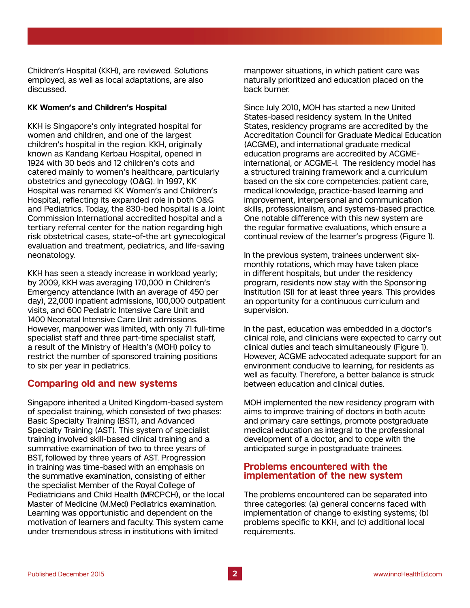Children's Hospital (KKH), are reviewed. Solutions employed, as well as local adaptations, are also discussed.

### **KK Women's and Children's Hospital**

KKH is Singapore's only integrated hospital for women and children, and one of the largest children's hospital in the region. KKH, originally known as Kandang Kerbau Hospital, opened in 1924 with 30 beds and 12 children's cots and catered mainly to women's healthcare, particularly obstetrics and gynecology (O&G). In 1997, KK Hospital was renamed KK Women's and Children's Hospital, reflecting its expanded role in both O&G and Pediatrics. Today, the 830-bed hospital is a Joint Commission International accredited hospital and a tertiary referral center for the nation regarding high risk obstetrical cases, state-of-the art gynecological evaluation and treatment, pediatrics, and life-saving neonatology.

KKH has seen a steady increase in workload yearly; by 2009, KKH was averaging 170,000 in Children's Emergency attendance (with an average of 450 per day), 22,000 inpatient admissions, 100,000 outpatient visits, and 600 Pediatric Intensive Care Unit and 1400 Neonatal Intensive Care Unit admissions. However, manpower was limited, with only 71 full-time specialist staff and three part-time specialist staff, a result of the Ministry of Health's (MOH) policy to restrict the number of sponsored training positions to six per year in pediatrics.

# **Comparing old and new systems**

Singapore inherited a United Kingdom-based system of specialist training, which consisted of two phases: Basic Specialty Training (BST), and Advanced Specialty Training (AST). This system of specialist training involved skill-based clinical training and a summative examination of two to three years of BST, followed by three years of AST. Progression in training was time-based with an emphasis on the summative examination, consisting of either the specialist Member of the Royal College of Pediatricians and Child Health (MRCPCH), or the local Master of Medicine (M.Med) Pediatrics examination. Learning was opportunistic and dependent on the motivation of learners and faculty. This system came under tremendous stress in institutions with limited

manpower situations, in which patient care was naturally prioritized and education placed on the back burner.

Since July 2010, MOH has started a new United States-based residency system. In the United States, residency programs are accredited by the Accreditation Council for Graduate Medical Education (ACGME), and international graduate medical education programs are accredited by ACGMEinternational, or ACGME-I. The residency model has a structured training framework and a curriculum based on the six core competencies: patient care, medical knowledge, practice-based learning and improvement, interpersonal and communication skills, professionalism, and systems-based practice. One notable difference with this new system are the regular formative evaluations, which ensure a continual review of the learner's progress (Figure 1).

In the previous system, trainees underwent sixmonthly rotations, which may have taken place in different hospitals, but under the residency program, residents now stay with the Sponsoring Institution (SI) for at least three years. This provides an opportunity for a continuous curriculum and supervision.

In the past, education was embedded in a doctor's clinical role, and clinicians were expected to carry out clinical duties and teach simultaneously (Figure 1). However, ACGME advocated adequate support for an environment conducive to learning, for residents as well as faculty. Therefore, a better balance is struck between education and clinical duties.

MOH implemented the new residency program with aims to improve training of doctors in both acute and primary care settings, promote postgraduate medical education as integral to the professional development of a doctor, and to cope with the anticipated surge in postgraduate trainees.

# **Problems encountered with the implementation of the new system**

The problems encountered can be separated into three categories: (a) general concerns faced with implementation of change to existing systems; (b) problems specific to KKH, and (c) additional local requirements.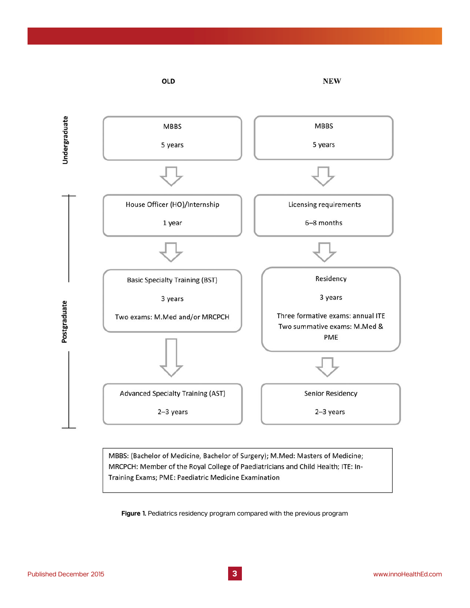

MBBS: (Bachelor of Medicine, Bachelor of Surgery); M.Med: Masters of Medicine; MRCPCH: Member of the Royal College of Paediatricians and Child Health; ITE: In-Training Exams; PME: Paediatric Medicine Examination

**Figure 1.** Pediatrics residency program compared with the previous program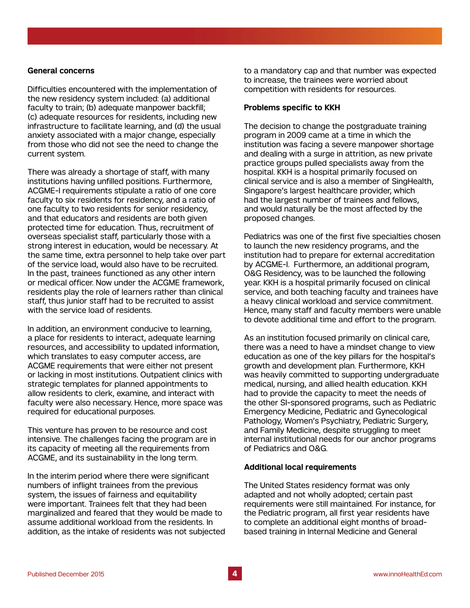#### **General concerns**

Difficulties encountered with the implementation of the new residency system included: (a) additional faculty to train; (b) adequate manpower backfill; (c) adequate resources for residents, including new infrastructure to facilitate learning, and (d) the usual anxiety associated with a major change, especially from those who did not see the need to change the current system.

There was already a shortage of staff, with many institutions having unfilled positions. Furthermore, ACGME-I requirements stipulate a ratio of one core faculty to six residents for residency, and a ratio of one faculty to two residents for senior residency, and that educators and residents are both given protected time for education. Thus, recruitment of overseas specialist staff, particularly those with a strong interest in education, would be necessary. At the same time, extra personnel to help take over part of the service load, would also have to be recruited. In the past, trainees functioned as any other intern or medical officer. Now under the ACGME framework, residents play the role of learners rather than clinical staff, thus junior staff had to be recruited to assist with the service load of residents.

In addition, an environment conducive to learning, a place for residents to interact, adequate learning resources, and accessibility to updated information, which translates to easy computer access, are ACGME requirements that were either not present or lacking in most institutions. Outpatient clinics with strategic templates for planned appointments to allow residents to clerk, examine, and interact with faculty were also necessary. Hence, more space was required for educational purposes.

This venture has proven to be resource and cost intensive. The challenges facing the program are in its capacity of meeting all the requirements from ACGME, and its sustainability in the long term.

In the interim period where there were significant numbers of inflight trainees from the previous system, the issues of fairness and equitability were important. Trainees felt that they had been marginalized and feared that they would be made to assume additional workload from the residents. In addition, as the intake of residents was not subjected to a mandatory cap and that number was expected to increase, the trainees were worried about competition with residents for resources.

#### **Problems specific to KKH**

The decision to change the postgraduate training program in 2009 came at a time in which the institution was facing a severe manpower shortage and dealing with a surge in attrition, as new private practice groups pulled specialists away from the hospital. KKH is a hospital primarily focused on clinical service and is also a member of SingHealth, Singapore's largest healthcare provider, which had the largest number of trainees and fellows, and would naturally be the most affected by the proposed changes.

Pediatrics was one of the first five specialties chosen to launch the new residency programs, and the institution had to prepare for external accreditation by ACGME-I. Furthermore, an additional program, O&G Residency, was to be launched the following year. KKH is a hospital primarily focused on clinical service, and both teaching faculty and trainees have a heavy clinical workload and service commitment. Hence, many staff and faculty members were unable to devote additional time and effort to the program.

As an institution focused primarily on clinical care, there was a need to have a mindset change to view education as one of the key pillars for the hospital's growth and development plan. Furthermore, KKH was heavily committed to supporting undergraduate medical, nursing, and allied health education. KKH had to provide the capacity to meet the needs of the other SI-sponsored programs, such as Pediatric Emergency Medicine, Pediatric and Gynecological Pathology, Women's Psychiatry, Pediatric Surgery, and Family Medicine, despite struggling to meet internal institutional needs for our anchor programs of Pediatrics and O&G.

#### **Additional local requirements**

The United States residency format was only adapted and not wholly adopted; certain past requirements were still maintained. For instance, for the Pediatric program, all first year residents have to complete an additional eight months of broadbased training in Internal Medicine and General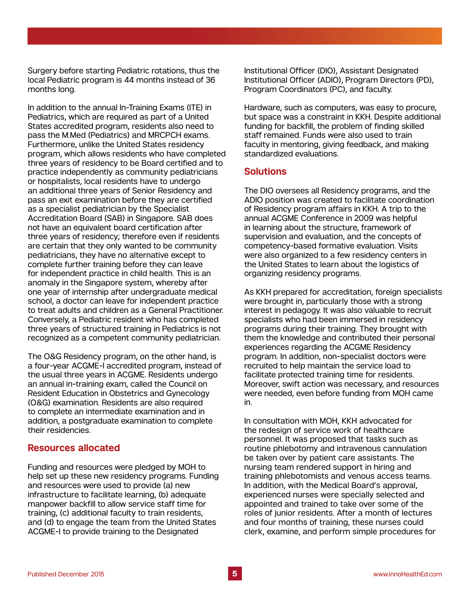Surgery before starting Pediatric rotations, thus the local Pediatric program is 44 months instead of 36 months long.

In addition to the annual In-Training Exams (ITE) in Pediatrics, which are required as part of a United States accredited program, residents also need to pass the M.Med (Pediatrics) and MRCPCH exams. Furthermore, unlike the United States residency program, which allows residents who have completed three years of residency to be Board certified and to practice independently as community pediatricians or hospitalists, local residents have to undergo an additional three years of Senior Residency and pass an exit examination before they are certified as a specialist pediatrician by the Specialist Accreditation Board (SAB) in Singapore. SAB does not have an equivalent board certification after three years of residency; therefore even if residents are certain that they only wanted to be community pediatricians, they have no alternative except to complete further training before they can leave for independent practice in child health. This is an anomaly in the Singapore system, whereby after one year of internship after undergraduate medical school, a doctor can leave for independent practice to treat adults and children as a General Practitioner. Conversely, a Pediatric resident who has completed three years of structured training in Pediatrics is not recognized as a competent community pediatrician.

The O&G Residency program, on the other hand, is a four-year ACGME-I accredited program, instead of the usual three years in ACGME. Residents undergo an annual in-training exam, called the Council on Resident Education in Obstetrics and Gynecology (O&G) examination. Residents are also required to complete an intermediate examination and in addition, a postgraduate examination to complete their residencies.

### **Resources allocated**

Funding and resources were pledged by MOH to help set up these new residency programs. Funding and resources were used to provide (a) new infrastructure to facilitate learning, (b) adequate manpower backfill to allow service staff time for training, (c) additional faculty to train residents, and (d) to engage the team from the United States ACGME-I to provide training to the Designated

Institutional Officer (DIO), Assistant Designated Institutional Officer (ADIO), Program Directors (PD), Program Coordinators (PC), and faculty.

Hardware, such as computers, was easy to procure, but space was a constraint in KKH. Despite additional funding for backfill, the problem of finding skilled staff remained. Funds were also used to train faculty in mentoring, giving feedback, and making standardized evaluations.

#### **Solutions**

The DIO oversees all Residency programs, and the ADIO position was created to facilitate coordination of Residency program affairs in KKH. A trip to the annual ACGME Conference in 2009 was helpful in learning about the structure, framework of supervision and evaluation, and the concepts of competency-based formative evaluation. Visits were also organized to a few residency centers in the United States to learn about the logistics of organizing residency programs.

As KKH prepared for accreditation, foreign specialists were brought in, particularly those with a strong interest in pedagogy. It was also valuable to recruit specialists who had been immersed in residency programs during their training. They brought with them the knowledge and contributed their personal experiences regarding the ACGME Residency program. In addition, non-specialist doctors were recruited to help maintain the service load to facilitate protected training time for residents. Moreover, swift action was necessary, and resources were needed, even before funding from MOH came in.

In consultation with MOH, KKH advocated for the redesign of service work of healthcare personnel. It was proposed that tasks such as routine phlebotomy and intravenous cannulation be taken over by patient care assistants. The nursing team rendered support in hiring and training phlebotomists and venous access teams. In addition, with the Medical Board's approval, experienced nurses were specially selected and appointed and trained to take over some of the roles of junior residents. After a month of lectures and four months of training, these nurses could clerk, examine, and perform simple procedures for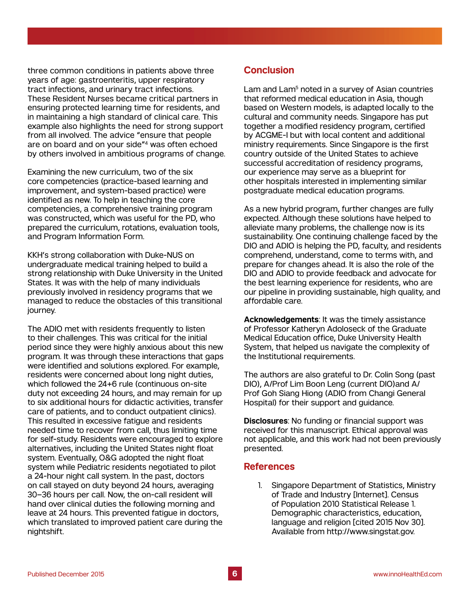three common conditions in patients above three years of age: gastroenteritis, upper respiratory tract infections, and urinary tract infections. These Resident Nurses became critical partners in ensuring protected learning time for residents, and in maintaining a high standard of clinical care. This example also highlights the need for strong support from all involved. The advice "ensure that people are on board and on your side"4 was often echoed by others involved in ambitious programs of change.

Examining the new curriculum, two of the six core competencies (practice-based learning and improvement, and system-based practice) were identified as new. To help in teaching the core competencies, a comprehensive training program was constructed, which was useful for the PD, who prepared the curriculum, rotations, evaluation tools, and Program Information Form.

KKH's strong collaboration with Duke-NUS on undergraduate medical training helped to build a strong relationship with Duke University in the United States. It was with the help of many individuals previously involved in residency programs that we managed to reduce the obstacles of this transitional journey.

The ADIO met with residents frequently to listen to their challenges. This was critical for the initial period since they were highly anxious about this new program. It was through these interactions that gaps were identified and solutions explored. For example, residents were concerned about long night duties, which followed the 24+6 rule (continuous on-site duty not exceeding 24 hours, and may remain for up to six additional hours for didactic activities, transfer care of patients, and to conduct outpatient clinics). This resulted in excessive fatigue and residents needed time to recover from call, thus limiting time for self-study. Residents were encouraged to explore alternatives, including the United States night float system. Eventually, O&G adopted the night float system while Pediatric residents negotiated to pilot a 24-hour night call system. In the past, doctors on call stayed on duty beyond 24 hours, averaging 30–36 hours per call. Now, the on-call resident will hand over clinical duties the following morning and leave at 24 hours. This prevented fatigue in doctors, which translated to improved patient care during the nightshift.

# **Conclusion**

Lam and Lam<sup>5</sup> noted in a survey of Asian countries that reformed medical education in Asia, though based on Western models, is adapted locally to the cultural and community needs. Singapore has put together a modified residency program, certified by ACGME-I but with local content and additional ministry requirements. Since Singapore is the first country outside of the United States to achieve successful accreditation of residency programs, our experience may serve as a blueprint for other hospitals interested in implementing similar postgraduate medical education programs.

As a new hybrid program, further changes are fully expected. Although these solutions have helped to alleviate many problems, the challenge now is its sustainability. One continuing challenge faced by the DIO and ADIO is helping the PD, faculty, and residents comprehend, understand, come to terms with, and prepare for changes ahead. It is also the role of the DIO and ADIO to provide feedback and advocate for the best learning experience for residents, who are our pipeline in providing sustainable, high quality, and affordable care.

**Acknowledgements**: It was the timely assistance of Professor Katheryn Adoloseck of the Graduate Medical Education office, Duke University Health System, that helped us navigate the complexity of the Institutional requirements.

The authors are also grateful to Dr. Colin Song (past DIO), A/Prof Lim Boon Leng (current DIO)and A/ Prof Goh Siang Hiong (ADIO from Changi General Hospital) for their support and guidance.

**Disclosures**: No funding or financial support was received for this manuscript. Ethical approval was not applicable, and this work had not been previously presented.

# **References**

1. Singapore Department of Statistics, Ministry of Trade and Industry [Internet]. Census of Population 2010 Statistical Release 1. Demographic characteristics, education, language and religion [cited 2015 Nov 30]. Available from http://www.singstat.gov.